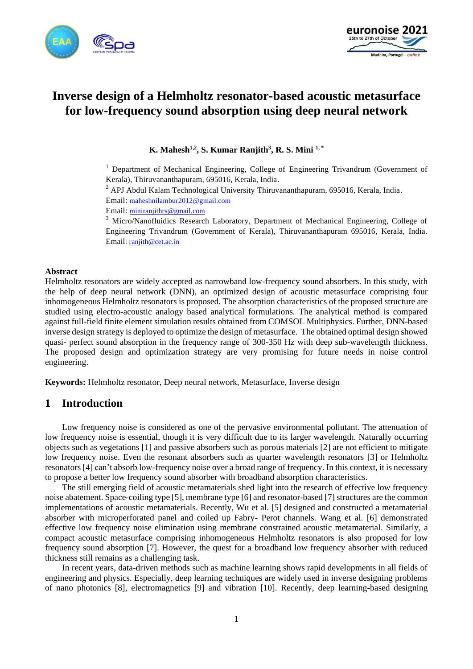



# **Inverse design of a Helmholtz resonator-based acoustic metasurface for low-frequency sound absorption using deep neural network**

**K. Mahesh1,2, S. Kumar Ranjith<sup>3</sup> , R. S. Mini 1, \***

<sup>1</sup> Department of Mechanical Engineering, College of Engineering Trivandrum (Government of Kerala), Thiruvananthapuram, 695016, Kerala, India.

<sup>2</sup> APJ Abdul Kalam Technological University Thiruvananthapuram, 695016, Kerala, India.

Email: [maheshnilambur2012@gmail.com](mailto:maheshnilambur2012@gmail.com)

Email: [miniranjithrs@gmail.com](mailto:miniranjithrs@gmail.com)

<sup>3</sup> Micro/Nanofluidics Research Laboratory, Department of Mechanical Engineering, College of Engineering Trivandrum (Government of Kerala), Thiruvananthapuram 695016, Kerala, India. Email[: ranjith@cet.ac.in](mailto:ranjith@cet.ac.in)

#### **Abstract**

Helmholtz resonators are widely accepted as narrowband low-frequency sound absorbers. In this study, with the help of deep neural network (DNN), an optimized design of acoustic metasurface comprising four inhomogeneous Helmholtz resonators is proposed. The absorption characteristics of the proposed structure are studied using electro-acoustic analogy based analytical formulations. The analytical method is compared against full-field finite element simulation results obtained from COMSOL Multiphysics. Further, DNN-based inverse design strategy is deployed to optimize the design of metasurface. The obtained optimal design showed quasi- perfect sound absorption in the frequency range of 300-350 Hz with deep sub-wavelength thickness. The proposed design and optimization strategy are very promising for future needs in noise control engineering.

**Keywords:** Helmholtz resonator, Deep neural network, Metasurface, Inverse design

### **1 Introduction**

Low frequency noise is considered as one of the pervasive environmental pollutant. The attenuation of low frequency noise is essential, though it is very difficult due to its larger wavelength. Naturally occurring objects such as vegetations [1] and passive absorbers such as porous materials [2] are not efficient to mitigate low frequency noise. Even the resonant absorbers such as quarter wavelength resonators [3] or Helmholtz resonators [4] can't absorb low-frequency noise over a broad range of frequency. In this context, it is necessary to propose a better low frequency sound absorber with broadband absorption characteristics.

The still emerging field of acoustic metamaterials shed light into the research of effective low frequency noise abatement. Space-coiling type [5], membrane type [6] and resonator-based [7] structures are the common implementations of acoustic metamaterials. Recently, Wu et al. [5] designed and constructed a metamaterial absorber with microperforated panel and coiled up Fabry- Perot channels. Wang et al. [6] demonstrated effective low frequency noise elimination using membrane constrained acoustic metamaterial. Similarly, a compact acoustic metasurface comprising inhomogeneous Helmholtz resonators is also proposed for low frequency sound absorption [7]. However, the quest for a broadband low frequency absorber with reduced thickness still remains as a challenging task.

In recent years, data-driven methods such as machine learning shows rapid developments in all fields of engineering and physics. Especially, deep learning techniques are widely used in inverse designing problems of nano photonics [8], electromagnetics [9] and vibration [10]. Recently, deep learning-based designing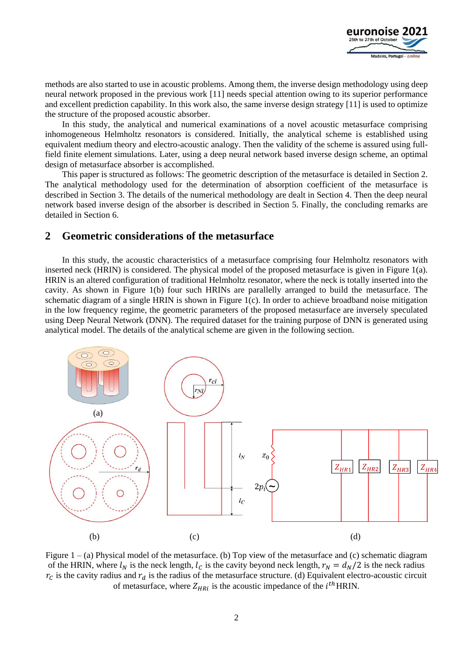

methods are also started to use in acoustic problems. Among them, the inverse design methodology using deep neural network proposed in the previous work [11] needs special attention owing to its superior performance and excellent prediction capability. In this work also, the same inverse design strategy [11] is used to optimize the structure of the proposed acoustic absorber.

In this study, the analytical and numerical examinations of a novel acoustic metasurface comprising inhomogeneous Helmholtz resonators is considered. Initially, the analytical scheme is established using equivalent medium theory and electro-acoustic analogy. Then the validity of the scheme is assured using fullfield finite element simulations. Later, using a deep neural network based inverse design scheme, an optimal design of metasurface absorber is accomplished.

This paper is structured as follows: The geometric description of the metasurface is detailed in Section 2. The analytical methodology used for the determination of absorption coefficient of the metasurface is described in Section 3. The details of the numerical methodology are dealt in Section 4. Then the deep neural network based inverse design of the absorber is described in Section 5. Finally, the concluding remarks are detailed in Section 6.

### **2 Geometric considerations of the metasurface**

In this study, the acoustic characteristics of a metasurface comprising four Helmholtz resonators with inserted neck (HRIN) is considered. The physical model of the proposed metasurface is given in Figure 1(a). HRIN is an altered configuration of traditional Helmholtz resonator, where the neck is totally inserted into the cavity. As shown in Figure 1(b) four such HRINs are parallelly arranged to build the metasurface. The schematic diagram of a single HRIN is shown in Figure 1(c). In order to achieve broadband noise mitigation in the low frequency regime, the geometric parameters of the proposed metasurface are inversely speculated using Deep Neural Network (DNN). The required dataset for the training purpose of DNN is generated using analytical model. The details of the analytical scheme are given in the following section.



Figure 1 – (a) Physical model of the metasurface. (b) Top view of the metasurface and (c) schematic diagram of the HRIN, where  $l_N$  is the neck length,  $l_C$  is the cavity beyond neck length,  $r_N = d_N/2$  is the neck radius  $r_c$  is the cavity radius and  $r_d$  is the radius of the metasurface structure. (d) Equivalent electro-acoustic circuit of metasurface, where  $Z_{HRi}$  is the acoustic impedance of the  $i^{th}$ HRIN.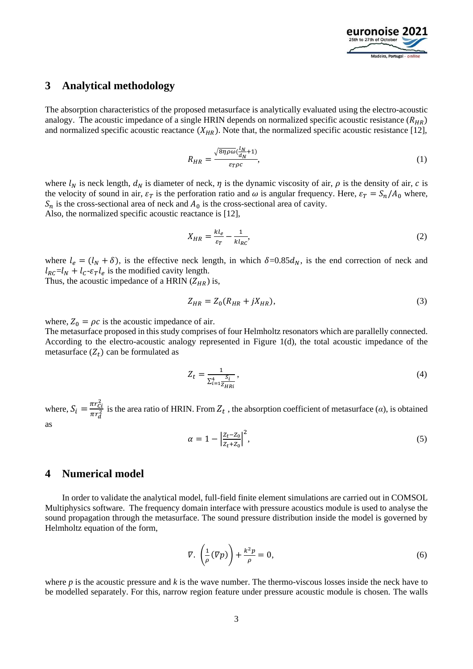

### **3 Analytical methodology**

The absorption characteristics of the proposed metasurface is analytically evaluated using the electro-acoustic analogy. The acoustic impedance of a single HRIN depends on normalized specific acoustic resistance ( $R_{HR}$ ) and normalized specific acoustic reactance  $(X_{HR})$ . Note that, the normalized specific acoustic resistance [12],

$$
R_{HR} = \frac{\sqrt{8\eta \rho \omega} (\frac{l_N}{d_N} + 1)}{\varepsilon_T \rho c},\tag{1}
$$

where  $l_N$  is neck length,  $d_N$  is diameter of neck,  $\eta$  is the dynamic viscosity of air,  $\rho$  is the density of air,  $c$  is the velocity of sound in air,  $\varepsilon_T$  is the perforation ratio and  $\omega$  is angular frequency. Here,  $\varepsilon_T = S_n/A_0$  where,  $S_n$  is the cross-sectional area of neck and  $A_0$  is the cross-sectional area of cavity. Also, the normalized specific acoustic reactance is [12],

$$
X_{HR} = \frac{k l_e}{\varepsilon_T} - \frac{1}{k l_{RC}},\tag{2}
$$

where  $l_e = (l_N + \delta)$ , is the effective neck length, in which  $\delta = 0.85 d_N$ , is the end correction of neck and  $l_{RC} = l_N + l_C - \varepsilon_T l_e$  is the modified cavity length.

Thus, the acoustic impedance of a HRIN  $(Z_{HR})$  is,

$$
Z_{HR} = Z_0 (R_{HR} + jX_{HR}),
$$
\n(3)

where,  $Z_0 = \rho c$  is the acoustic impedance of air.

The metasurface proposed in this study comprises of four Helmholtz resonators which are parallelly connected. According to the electro-acoustic analogy represented in Figure 1(d), the total acoustic impedance of the metasurface  $(Z_t)$  can be formulated as

$$
Z_t = \frac{1}{\sum_{i=1}^4 \frac{S_i}{Z_{HRi}}},\tag{4}
$$

where,  $S_i = \frac{\pi r_{Ci}^2}{\pi r^2}$  $\frac{n_1 c_i}{\pi r_d^2}$  is the area ratio of HRIN. From  $Z_t$ , the absorption coefficient of metasurface (*α*), is obtained as

$$
\alpha = 1 - \left| \frac{Z_t - Z_0}{Z_t + Z_0} \right|^2,\tag{5}
$$

### **4 Numerical model**

In order to validate the analytical model, full-field finite element simulations are carried out in COMSOL Multiphysics software. The frequency domain interface with pressure acoustics module is used to analyse the sound propagation through the metasurface. The sound pressure distribution inside the model is governed by Helmholtz equation of the form,

$$
\nabla. \left(\frac{1}{\rho}(\nabla p)\right) + \frac{k^2 p}{\rho} = 0,\tag{6}
$$

where  $p$  is the acoustic pressure and  $k$  is the wave number. The thermo-viscous losses inside the neck have to be modelled separately. For this, narrow region feature under pressure acoustic module is chosen. The walls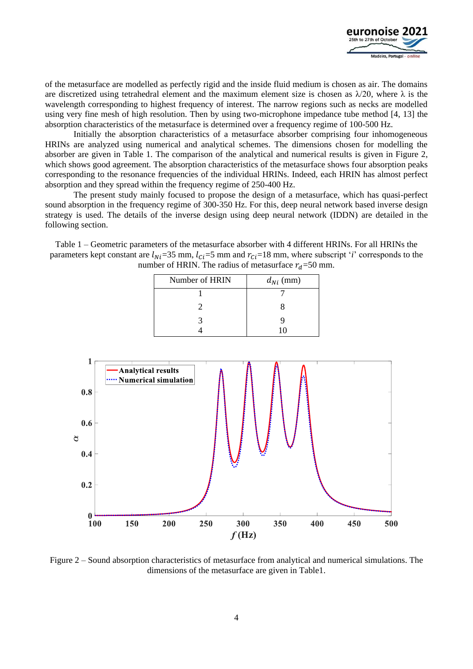

of the metasurface are modelled as perfectly rigid and the inside fluid medium is chosen as air. The domains are discretized using tetrahedral element and the maximum element size is chosen as  $\lambda/20$ , where  $\lambda$  is the wavelength corresponding to highest frequency of interest. The narrow regions such as necks are modelled using very fine mesh of high resolution. Then by using two-microphone impedance tube method [4, 13] the absorption characteristics of the metasurface is determined over a frequency regime of 100-500 Hz.

Initially the absorption characteristics of a metasurface absorber comprising four inhomogeneous HRINs are analyzed using numerical and analytical schemes. The dimensions chosen for modelling the absorber are given in Table 1. The comparison of the analytical and numerical results is given in Figure 2, which shows good agreement. The absorption characteristics of the metasurface shows four absorption peaks corresponding to the resonance frequencies of the individual HRINs. Indeed, each HRIN has almost perfect absorption and they spread within the frequency regime of 250-400 Hz.

The present study mainly focused to propose the design of a metasurface, which has quasi-perfect sound absorption in the frequency regime of 300-350 Hz. For this, deep neural network based inverse design strategy is used. The details of the inverse design using deep neural network (IDDN) are detailed in the following section.

Table 1 – Geometric parameters of the metasurface absorber with 4 different HRINs. For all HRINs the parameters kept constant are  $l_{Ni}$ =35 mm,  $l_{Ci}$ =5 mm and  $r_{Ci}$ =18 mm, where subscript '*i*' corresponds to the number of HRIN. The radius of metasurface  $r_d$ =50 mm.

| Number of HRIN | $d_{Ni}$ (mm) |
|----------------|---------------|
|                |               |
|                |               |
|                |               |
|                |               |



Figure 2 – Sound absorption characteristics of metasurface from analytical and numerical simulations. The dimensions of the metasurface are given in Table1.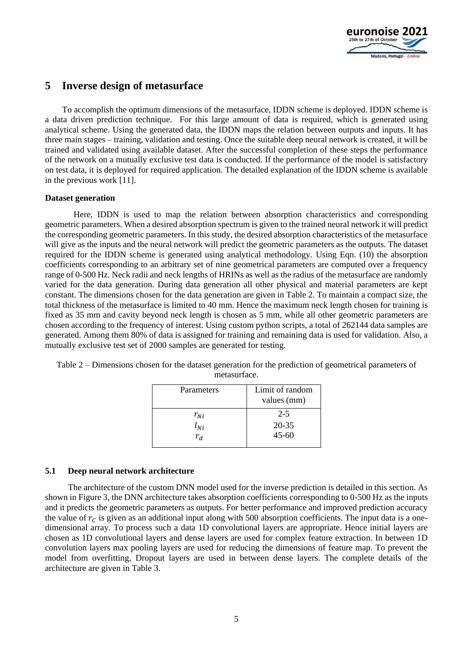

# **5 Inverse design of metasurface**

To accomplish the optimum dimensions of the metasurface, IDDN scheme is deployed. IDDN scheme is a data driven prediction technique. For this large amount of data is required, which is generated using analytical scheme. Using the generated data, the IDDN maps the relation between outputs and inputs. It has three main stages – training, validation and testing. Once the suitable deep neural network is created, it will be trained and validated using available dataset. After the successful completion of these steps the performance of the network on a mutually exclusive test data is conducted. If the performance of the model is satisfactory on test data, it is deployed for required application. The detailed explanation of the IDDN scheme is available in the previous work [11].

#### **Dataset generation**

Here, IDDN is used to map the relation between absorption characteristics and corresponding geometric parameters. When a desired absorption spectrum is given to the trained neural network it will predict the corresponding geometric parameters. In this study, the desired absorption characteristics of the metasurface will give as the inputs and the neural network will predict the geometric parameters as the outputs. The dataset required for the IDDN scheme is generated using analytical methodology. Using Eqn. (10) the absorption coefficients corresponding to an arbitrary set of nine geometrical parameters are computed over a frequency range of 0-500 Hz. Neck radii and neck lengths of HRINs as well as the radius of the metasurface are randomly varied for the data generation. During data generation all other physical and material parameters are kept constant. The dimensions chosen for the data generation are given in Table 2. To maintain a compact size, the total thickness of the metasurface is limited to 40 mm. Hence the maximum neck length chosen for training is fixed as 35 mm and cavity beyond neck length is chosen as 5 mm, while all other geometric parameters are chosen according to the frequency of interest. Using custom python scripts, a total of 262144 data samples are generated. Among them 80% of data is assigned for training and remaining data is used for validation. Also, a mutually exclusive test set of 2000 samples are generated for testing.

| Parameters | Limit of random<br>values (mm) |
|------------|--------------------------------|
| $r_{Ni}$   | $2 - 5$                        |
| $l_{Ni}$   | $20 - 35$                      |
| $r_d$      | $45 - 60$                      |

Table 2 – Dimensions chosen for the dataset generation for the prediction of geometrical parameters of metasurface.

#### **5.1 Deep neural network architecture**

The architecture of the custom DNN model used for the inverse prediction is detailed in this section. As shown in Figure 3, the DNN architecture takes absorption coefficients corresponding to 0-500 Hz as the inputs and it predicts the geometric parameters as outputs. For better performance and improved prediction accuracy the value of  $r_c$  is given as an additional input along with 500 absorption coefficients. The input data is a onedimensional array. To process such a data 1D convolutional layers are appropriate. Hence initial layers are chosen as 1D convolutional layers and dense layers are used for complex feature extraction. In between 1D convolution layers max pooling layers are used for reducing the dimensions of feature map. To prevent the model from overfitting, Dropout layers are used in between dense layers. The complete details of the architecture are given in Table 3.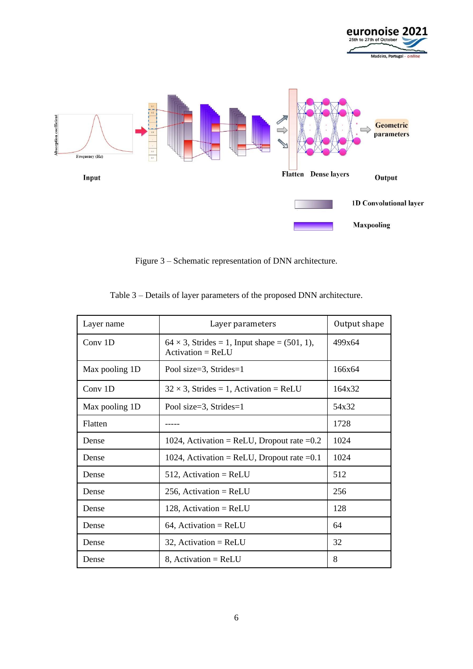



Figure 3 – Schematic representation of DNN architecture.

| Layer name     | Layer parameters                                                        | Output shape |
|----------------|-------------------------------------------------------------------------|--------------|
| Conv 1D        | $64 \times 3$ , Strides = 1, Input shape = (501, 1),<br>$Action = ReLU$ | 499x64       |
| Max pooling 1D | Pool size=3, Strides=1                                                  | 166x64       |
| Conv 1D        | $32 \times 3$ , Strides = 1, Activation = ReLU                          | 164x32       |
| Max pooling 1D | Pool size=3, Strides= $1$                                               | 54x32        |
| Flatten        |                                                                         | 1728         |
| Dense          | 1024, Activation = ReLU, Dropout rate = $0.2$                           | 1024         |
| Dense          | 1024, Activation = ReLU, Dropout rate = $0.1$                           | 1024         |
| Dense          | $512$ , Activation = ReLU                                               | 512          |
| Dense          | 256, Activation = $ReLU$                                                | 256          |
| Dense          | 128, Activation = $ReLU$                                                | 128          |
| Dense          | $64$ , Activation = ReLU                                                | 64           |
| Dense          | $32$ , Activation = ReLU                                                | 32           |
| Dense          | $8$ , Activation = ReLU                                                 | 8            |

## Table 3 – Details of layer parameters of the proposed DNN architecture.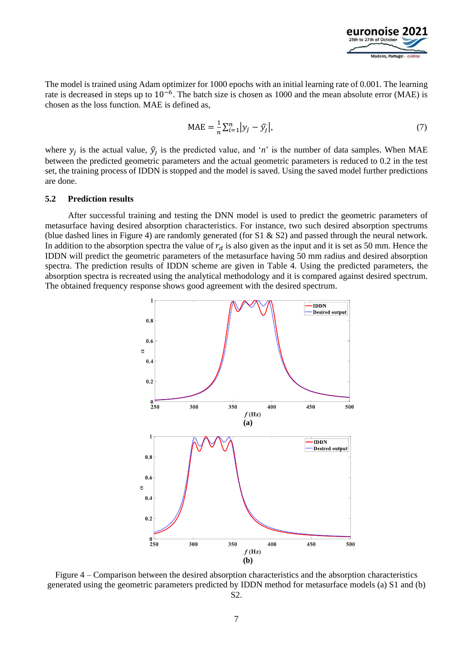

The model is trained using Adam optimizer for 1000 epochs with an initial learning rate of 0.001. The learning rate is decreased in steps up to 10<sup>-6</sup>. The batch size is chosen as 1000 and the mean absolute error (MAE) is chosen as the loss function. MAE is defined as,

$$
MAE = \frac{1}{n} \sum_{i=1}^{n} |y_j - \hat{y}_j|,
$$
\n(7)

where  $y_j$  is the actual value,  $\hat{y}_j$  is the predicted value, and '*n*' is the number of data samples. When MAE between the predicted geometric parameters and the actual geometric parameters is reduced to 0.2 in the test set, the training process of IDDN is stopped and the model is saved. Using the saved model further predictions are done.

#### **5.2 Prediction results**

After successful training and testing the DNN model is used to predict the geometric parameters of metasurface having desired absorption characteristics. For instance, two such desired absorption spectrums (blue dashed lines in Figure 4) are randomly generated (for  $S1 \& S2$ ) and passed through the neural network. In addition to the absorption spectra the value of  $r_d$  is also given as the input and it is set as 50 mm. Hence the IDDN will predict the geometric parameters of the metasurface having 50 mm radius and desired absorption spectra. The prediction results of IDDN scheme are given in Table 4. Using the predicted parameters, the absorption spectra is recreated using the analytical methodology and it is compared against desired spectrum. The obtained frequency response shows good agreement with the desired spectrum.



Figure 4 – Comparison between the desired absorption characteristics and the absorption characteristics generated using the geometric parameters predicted by IDDN method for metasurface models (a) S1 and (b) S2.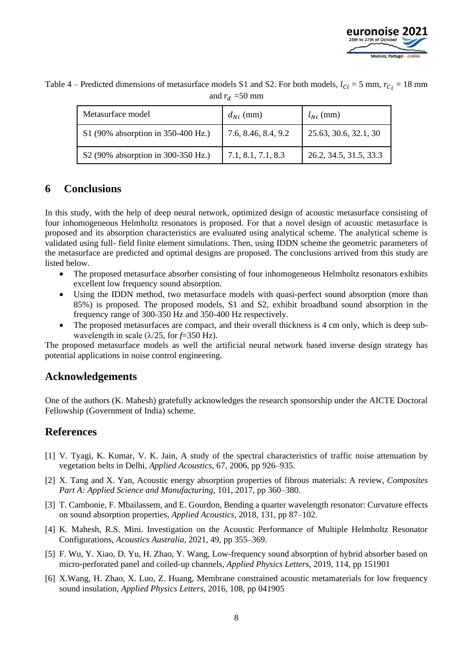

| Metasurface model                  | $d_{Ni}$ (mm)       | $l_{Ni}$ (mm)          |
|------------------------------------|---------------------|------------------------|
| S1 (90% absorption in 350-400 Hz.) | 7.6, 8.46, 8.4, 9.2 | 25.63, 30.6, 32.1, 30  |
| S2 (90% absorption in 300-350 Hz.) | 7.1, 8.1, 7.1, 8.3  | 26.2, 34.5, 31.5, 33.3 |

Table 4 – Predicted dimensions of metasurface models S1 and S2. For both models,  $l_{ci} = 5$  mm,  $r_{ci} = 18$  mm and  $r_d = 50$  mm

# **6 Conclusions**

In this study, with the help of deep neural network, optimized design of acoustic metasurface consisting of four inhomogeneous Helmholtz resonators is proposed. For that a novel design of acoustic metasurface is proposed and its absorption characteristics are evaluated using analytical scheme. The analytical scheme is validated using full- field finite element simulations. Then, using IDDN scheme the geometric parameters of the metasurface are predicted and optimal designs are proposed. The conclusions arrived from this study are listed below.

- The proposed metasurface absorber consisting of four inhomogeneous Helmholtz resonators exhibits excellent low frequency sound absorption.
- Using the IDDN method, two metasurface models with quasi-perfect sound absorption (more than 85%) is proposed. The proposed models, S1 and S2, exhibit broadband sound absorption in the frequency range of 300-350 Hz and 350-400 Hz respectively.
- The proposed metasurfaces are compact, and their overall thickness is 4 cm only, which is deep subwavelength in scale (λ/25, for *f*=350 Hz).

The proposed metasurface models as well the artificial neural network based inverse design strategy has potential applications in noise control engineering.

# **Acknowledgements**

One of the authors (K. Mahesh) gratefully acknowledges the research sponsorship under the AICTE Doctoral Fellowship (Government of India) scheme.

# **References**

- [1] V. Tyagi, K. Kumar, V. K. Jain, A study of the spectral characteristics of traffic noise attenuation by vegetation belts in Delhi, *Applied Acoustics*, 67, 2006, pp 926–935.
- [2] X. Tang and X. Yan, Acoustic energy absorption properties of fibrous materials: A review, *Composites Part A: Applied Science and Manufacturing*, 101, 2017, pp 360–380.
- [3] T. Cambonie, F. Mbailassem, and E. Gourdon, Bending a quarter wavelength resonator: Curvature effects on sound absorption properties, *Applied Acoustics*, 2018, 131, pp 87–102.
- [4] K. Mahesh, R.S. Mini. Investigation on the Acoustic Performance of Multiple Helmholtz Resonator Configurations, *Acoustics Australia*, 2021, 49, pp 355–369.
- [5] F. Wu, Y. Xiao, D. Yu, H. Zhao, Y. Wang, Low-frequency sound absorption of hybrid absorber based on micro-perforated panel and coiled-up channels, *Applied Physics Letters*, 2019, 114, pp 151901
- [6] X.Wang, H. Zhao, X. Luo, Z. Huang, Membrane constrained acoustic metamaterials for low frequency sound insulation, *Applied Physics Letters*, 2016, 108, pp 041905